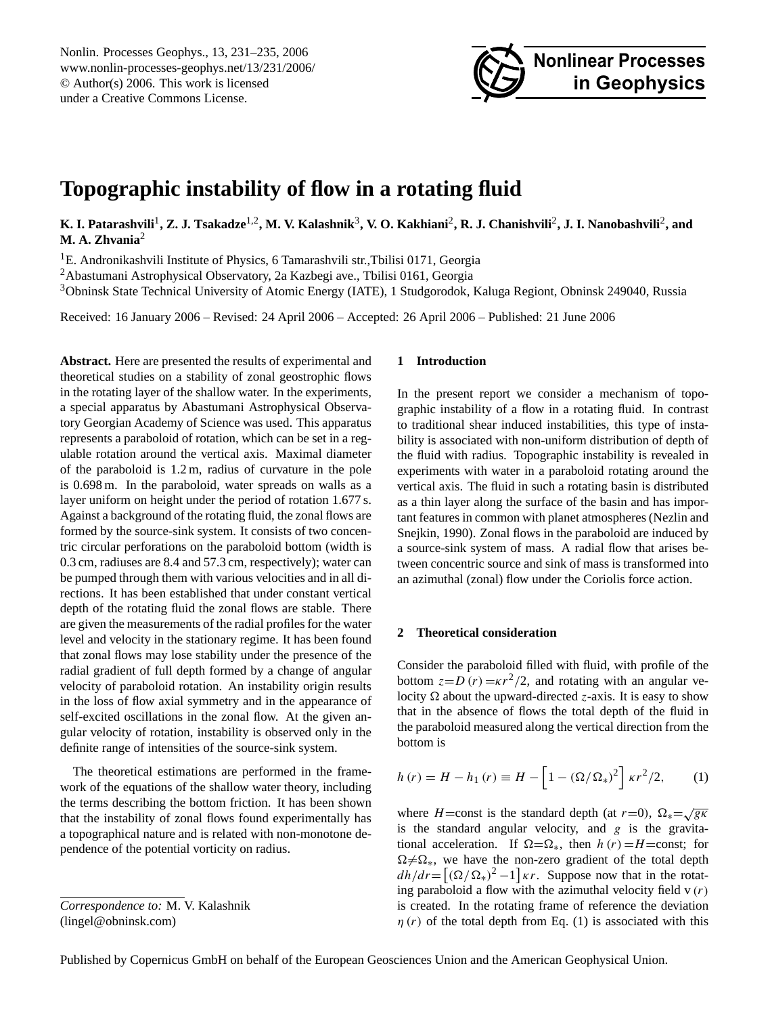Nonlin. Processes Geophys., 13, 231[–235,](#page-0-0) 2006 www.nonlin-processes-geophys.net/13/231/2006/ © Author(s) 2006. This work is licensed under a Creative Commons License.



# **Topographic instability of flow in a rotating fluid**

 $K$ . I. Patarashvili<sup>1</sup>, Z. J. Tsakadze<sup>1,2</sup>, M. V. Kalashnik<sup>3</sup>, V. O. Kakhiani<sup>2</sup>, R. J. Chanishvili<sup>2</sup>, J. I. Nanobashvili<sup>2</sup>, and **M. A. Zhvania**<sup>2</sup>

<sup>1</sup>E. Andronikashvili Institute of Physics, 6 Tamarashvili str., Tbilisi 0171, Georgia

<sup>2</sup>Abastumani Astrophysical Observatory, 2a Kazbegi ave., Tbilisi 0161, Georgia

<sup>3</sup>Obninsk State Technical University of Atomic Energy (IATE), 1 Studgorodok, Kaluga Regiont, Obninsk 249040, Russia

Received: 16 January 2006 – Revised: 24 April 2006 – Accepted: 26 April 2006 – Published: 21 June 2006

**Abstract.** Here are presented the results of experimental and theoretical studies on a stability of zonal geostrophic flows in the rotating layer of the shallow water. In the experiments, a special apparatus by Abastumani Astrophysical Observatory Georgian Academy of Science was used. This apparatus represents a paraboloid of rotation, which can be set in a regulable rotation around the vertical axis. Maximal diameter of the paraboloid is 1.2 m, radius of curvature in the pole is 0.698 m. In the paraboloid, water spreads on walls as a layer uniform on height under the period of rotation 1.677 s. Against a background of the rotating fluid, the zonal flows are formed by the source-sink system. It consists of two concentric circular perforations on the paraboloid bottom (width is 0.3 cm, radiuses are 8.4 and 57.3 cm, respectively); water can be pumped through them with various velocities and in all directions. It has been established that under constant vertical depth of the rotating fluid the zonal flows are stable. There are given the measurements of the radial profiles for the water level and velocity in the stationary regime. It has been found that zonal flows may lose stability under the presence of the radial gradient of full depth formed by a change of angular velocity of paraboloid rotation. An instability origin results in the loss of flow axial symmetry and in the appearance of self-excited oscillations in the zonal flow. At the given angular velocity of rotation, instability is observed only in the definite range of intensities of the source-sink system.

The theoretical estimations are performed in the framework of the equations of the shallow water theory, including the terms describing the bottom friction. It has been shown that the instability of zonal flows found experimentally has a topographical nature and is related with non-monotone dependence of the potential vorticity on radius.

### **1 Introduction**

In the present report we consider a mechanism of topographic instability of a flow in a rotating fluid. In contrast to traditional shear induced instabilities, this type of instability is associated with non-uniform distribution of depth of the fluid with radius. Topographic instability is revealed in experiments with water in a paraboloid rotating around the vertical axis. The fluid in such a rotating basin is distributed as a thin layer along the surface of the basin and has important features in common with planet atmospheres (Nezlin and Snejkin, 1990). Zonal flows in the paraboloid are induced by a source-sink system of mass. A radial flow that arises between concentric source and sink of mass is transformed into an azimuthal (zonal) flow under the Coriolis force action.

#### **2 Theoretical consideration**

Consider the paraboloid filled with fluid, with profile of the bottom  $z = D(r) = \kappa r^2/2$ , and rotating with an angular velocity  $\Omega$  about the upward-directed *z*-axis. It is easy to show that in the absence of flows the total depth of the fluid in the paraboloid measured along the vertical direction from the bottom is

$$
h(r) = H - h_1(r) \equiv H - \left[1 - (\Omega/\Omega_*)^2\right] \kappa r^2 / 2, \qquad (1)
$$

where *H*=const is the standard depth (at  $r=0$ ),  $\Omega_* = \sqrt{g\kappa}$ is the standard angular velocity, and  $g$  is the gravitational acceleration. If  $\Omega = \Omega_*$ , then  $h(r) = H = \text{const}$ ; for  $\Omega \neq \Omega_*$ , we have the non-zero gradient of the total depth  $dh/dr = [(\Omega/\Omega_*)^2 - 1] \kappa r$ . Suppose now that in the rotating paraboloid a flow with the azimuthal velocity field  $v(r)$ is created. In the rotating frame of reference the deviation  $\eta(r)$  of the total depth from Eq. (1) is associated with this

Published by Copernicus GmbH on behalf of the European Geosciences Union and the American Geophysical Union.

<span id="page-0-0"></span>*Correspondence to:* M. V. Kalashnik (lingel@obninsk.com)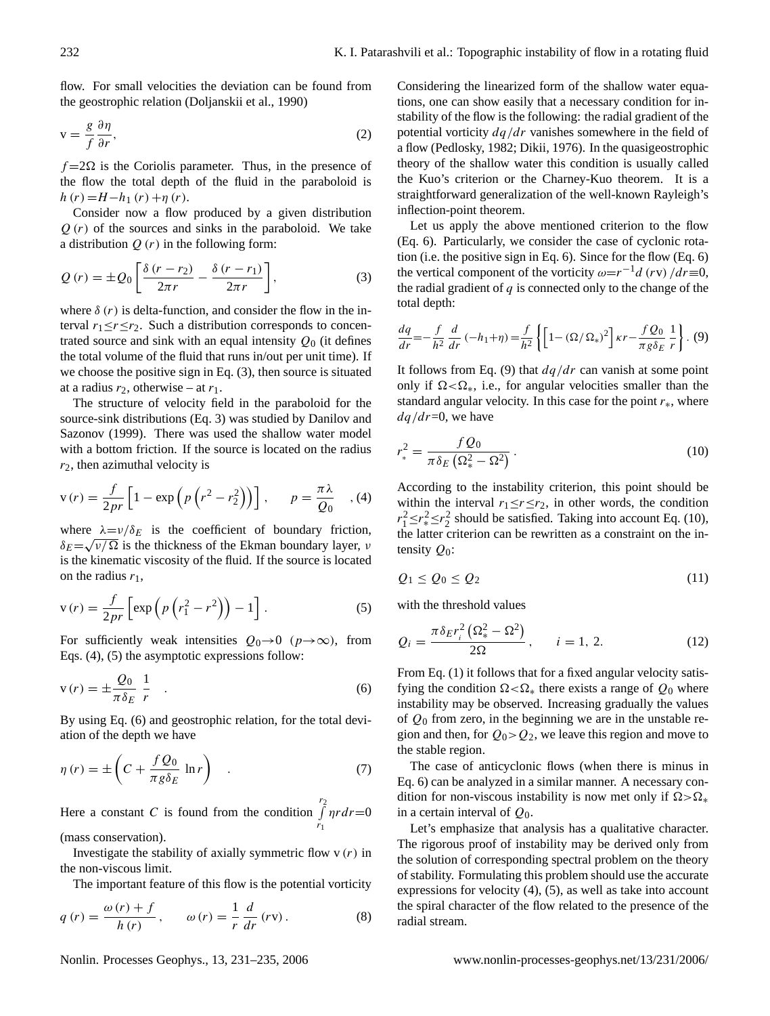flow. For small velocities the deviation can be found from the geostrophic relation (Doljanskii et al., 1990)

$$
v = \frac{g}{f} \frac{\partial \eta}{\partial r},\tag{2}
$$

 $f = 2\Omega$  is the Coriolis parameter. Thus, in the presence of the flow the total depth of the fluid in the paraboloid is  $h(r) = H - h_1(r) + \eta(r)$ .

Consider now a flow produced by a given distribution  $Q(r)$  of the sources and sinks in the paraboloid. We take a distribution  $Q(r)$  in the following form:

$$
Q(r) = \pm Q_0 \left[ \frac{\delta (r - r_2)}{2\pi r} - \frac{\delta (r - r_1)}{2\pi r} \right],
$$
 (3)

where  $\delta(r)$  is delta-function, and consider the flow in the interval  $r_1 \le r \le r_2$ . Such a distribution corresponds to concentrated source and sink with an equal intensity  $Q_0$  (it defines the total volume of the fluid that runs in/out per unit time). If we choose the positive sign in Eq. (3), then source is situated at a radius  $r_2$ , otherwise – at  $r_1$ .

The structure of velocity field in the paraboloid for the source-sink distributions (Eq. 3) was studied by Danilov and Sazonov (1999). There was used the shallow water model with a bottom friction. If the source is located on the radius  $r_2$ , then azimuthal velocity is

$$
v(r) = \frac{f}{2pr} \left[ 1 - \exp\left(p\left(r^2 - r_2^2\right)\right) \right], \qquad p = \frac{\pi\lambda}{Q_0} \quad , (4)
$$

where  $\lambda = v/\delta_E$  is the coefficient of boundary friction,  $\delta_E = \sqrt{\nu / \Omega}$  is the thickness of the Ekman boundary layer,  $\nu$ is the kinematic viscosity of the fluid. If the source is located on the radius  $r_1$ ,

$$
v(r) = \frac{f}{2pr} \left[ exp\left(p\left(r_1^2 - r^2\right)\right) - 1\right].
$$
 (5)

For sufficiently weak intensities  $Q_0 \rightarrow 0$  ( $p \rightarrow \infty$ ), from Eqs. (4), (5) the asymptotic expressions follow:

$$
v(r) = \pm \frac{Q_0}{\pi \delta_E} \frac{1}{r} \quad . \tag{6}
$$

By using Eq. (6) and geostrophic relation, for the total deviation of the depth we have

$$
\eta(r) = \pm \left( C + \frac{f Q_0}{\pi g \delta_E} \ln r \right) \quad . \tag{7}
$$

Here a constant C is found from the condition  $\int_{a}^{r_2}$  $r_1$  $\eta r dr = 0$ (mass conservation).

Investigate the stability of axially symmetric flow  $v(r)$  in the non-viscous limit.

The important feature of this flow is the potential vorticity

$$
q(r) = \frac{\omega(r) + f}{h(r)}, \qquad \omega(r) = \frac{1}{r} \frac{d}{dr}(rv).
$$
 (8)

Considering the linearized form of the shallow water equations, one can show easily that a necessary condition for instability of the flow is the following: the radial gradient of the potential vorticity  $dq/dr$  vanishes somewhere in the field of a flow (Pedlosky, 1982; Dikii, 1976). In the quasigeostrophic theory of the shallow water this condition is usually called the Kuo's criterion or the Charney-Kuo theorem. It is a straightforward generalization of the well-known Rayleigh's inflection-point theorem.

Let us apply the above mentioned criterion to the flow (Eq. 6). Particularly, we consider the case of cyclonic rotation (i.e. the positive sign in Eq. 6). Since for the flow (Eq. 6) the vertical component of the vorticity  $\omega = r^{-1}d$  (rv)  $/dr \equiv 0$ , the radial gradient of  $q$  is connected only to the change of the total depth:

$$
\frac{dq}{dr} = -\frac{f}{h^2} \frac{d}{dr} (-h_1 + \eta) = \frac{f}{h^2} \left\{ \left[ 1 - (\Omega/\Omega_*)^2 \right] \kappa r - \frac{fQ_0}{\pi g \delta_E} \frac{1}{r} \right\}.
$$
 (9)

It follows from Eq. (9) that  $dq/dr$  can vanish at some point only if  $\Omega < \Omega_*$ , i.e., for angular velocities smaller than the standard angular velocity. In this case for the point  $r<sub>*</sub>$ , where  $dq/dr = 0$ , we have

$$
r_*^2 = \frac{f Q_0}{\pi \delta_E \left(\Omega_*^2 - \Omega^2\right)}.
$$
\n(10)

According to the instability criterion, this point should be within the interval  $r_1 \le r \le r_2$ , in other words, the condition  $r_1^2 \le r_*^2 \le r_2^2$  should be satisfied. Taking into account Eq. (10), the latter criterion can be rewritten as a constraint on the intensity  $Q_0$ :

$$
Q_1 \le Q_0 \le Q_2 \tag{11}
$$

with the threshold values

$$
Q_i = \frac{\pi \delta_E r_i^2 \left( \Omega_*^2 - \Omega^2 \right)}{2\Omega}, \qquad i = 1, 2. \tag{12}
$$

From Eq. (1) it follows that for a fixed angular velocity satisfying the condition  $\Omega \leq \Omega_*$  there exists a range of  $Q_0$  where instability may be observed. Increasing gradually the values of  $Q_0$  from zero, in the beginning we are in the unstable region and then, for  $Q_0 > Q_2$ , we leave this region and move to the stable region.

The case of anticyclonic flows (when there is minus in Eq. 6) can be analyzed in a similar manner. A necessary condition for non-viscous instability is now met only if  $\Omega > \Omega_*$ in a certain interval of  $Q_0$ .

Let's emphasize that analysis has a qualitative character. The rigorous proof of instability may be derived only from the solution of corresponding spectral problem on the theory of stability. Formulating this problem should use the accurate expressions for velocity (4), (5), as well as take into account the spiral character of the flow related to the presence of the radial stream.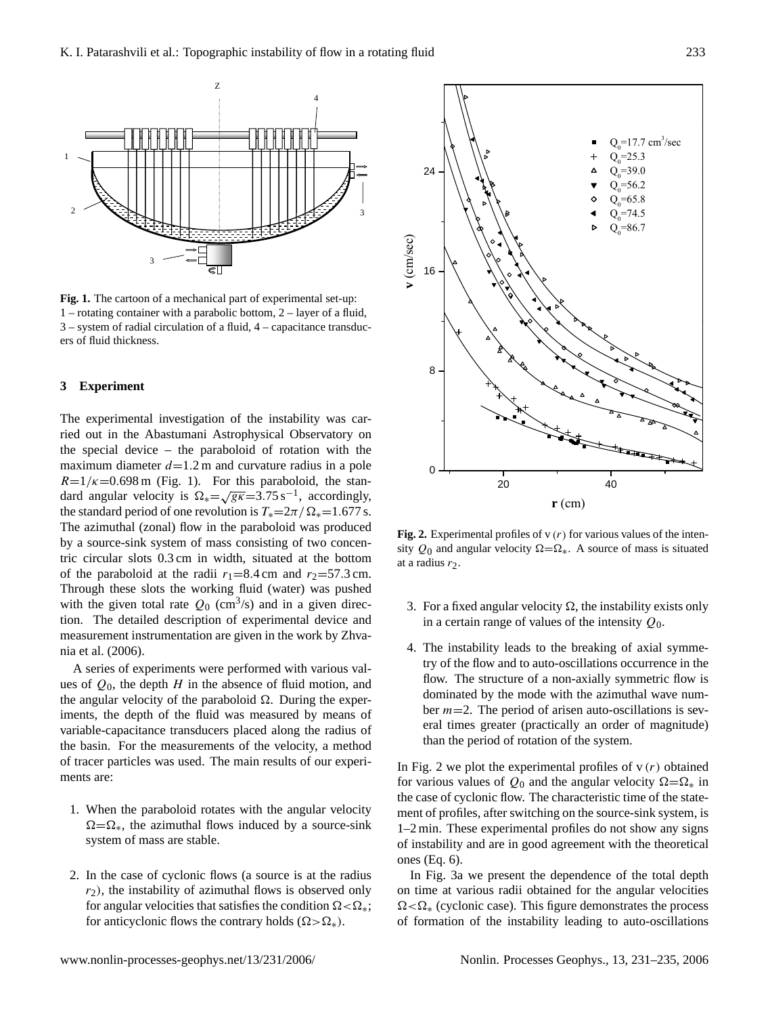

Fig.1 3 – system of radial circulation of a fluid, 4 – capacitance transduc-**Fig. 1.** The cartoon of a mechanical part of experimental set-up: 1 – rotating container with a parabolic bottom, 2 – layer of a fluid, ers of fluid thickness.

# **3 Experiment**

The experimental investigation of the instability was carried out in the Abastumani Astrophysical Observatory on the special device – the paraboloid of rotation with the maximum diameter  $d=1.2$  m and curvature radius in a pole  $R=1/\kappa=0.698$  m (Fig. 1). For this paraboloid, the stan- $K=1/k=0.098$  in (Fig. 1). For this paraboloid, the standard angular velocity is  $\Omega_* = \sqrt{gK} = 3.75 \text{ s}^{-1}$ , accordingly, the standard period of one revolution is  $T_* = 2\pi / \Omega_* = 1.677$  s. The azimuthal (zonal) flow in the paraboloid was produced by a source-sink system of mass consisting of two concentric circular slots 0.3 cm in width, situated at the bottom of the paraboloid at the radii  $r_1=8.4$  cm and  $r_2=57.3$  cm. Through these slots the working fluid (water) was pushed with the given total rate  $Q_0$  (cm<sup>3</sup>/s) and in a given direction. The detailed description of experimental device and measurement instrumentation are given in the work by Zhvania et al. (2006).

A series of experiments were performed with various values of  $Q_0$ , the depth H in the absence of fluid motion, and the angular velocity of the paraboloid  $\Omega$ . During the experiments, the depth of the fluid was measured by means of variable-capacitance transducers placed along the radius of the basin. For the measurements of the velocity, a method of tracer particles was used. The main results of our experiments are:

- 1. When the paraboloid rotates with the angular velocity  $\Omega = \Omega_*$ , the azimuthal flows induced by a source-sink system of mass are stable.
- 2. In the case of cyclonic flows (a source is at the radius  $r<sub>2</sub>$ ), the instability of azimuthal flows is observed only for angular velocities that satisfies the condition  $\Omega < \Omega_*$ ; for anticyclonic flows the contrary holds  $(\Omega > \Omega_*)$ .



**Fig. 2.** Experimental profiles of  $v(r)$  for various values of the intensity  $Q_0$  and angular velocity  $\Omega = \Omega_*$ . A source of mass is situated at a radius  $r_2$ .

- 3. For a fixed angular velocity  $\Omega$ , the instability exists only in a certain range of values of the intensity  $Q_0$ .
- 4. The instability leads to the breaking of axial symmetry of the flow and to auto-oscillations occurrence in the flow. The structure of a non-axially symmetric flow is dominated by the mode with the azimuthal wave number  $m=2$ . The period of arisen auto-oscillations is several times greater (practically an order of magnitude) than the period of rotation of the system.

In Fig. 2 we plot the experimental profiles of  $v(r)$  obtained for various values of  $Q_0$  and the angular velocity  $\Omega = \Omega_*$  in the case of cyclonic flow. The characteristic time of the statement of profiles, after switching on the source-sink system, is 1–2 min. These experimental profiles do not show any signs of instability and are in good agreement with the theoretical ones (Eq. 6).

In Fig. 3a we present the dependence of the total depth on time at various radii obtained for the angular velocities  $\Omega < \Omega_*$  (cyclonic case). This figure demonstrates the process of formation of the instability leading to auto-oscillations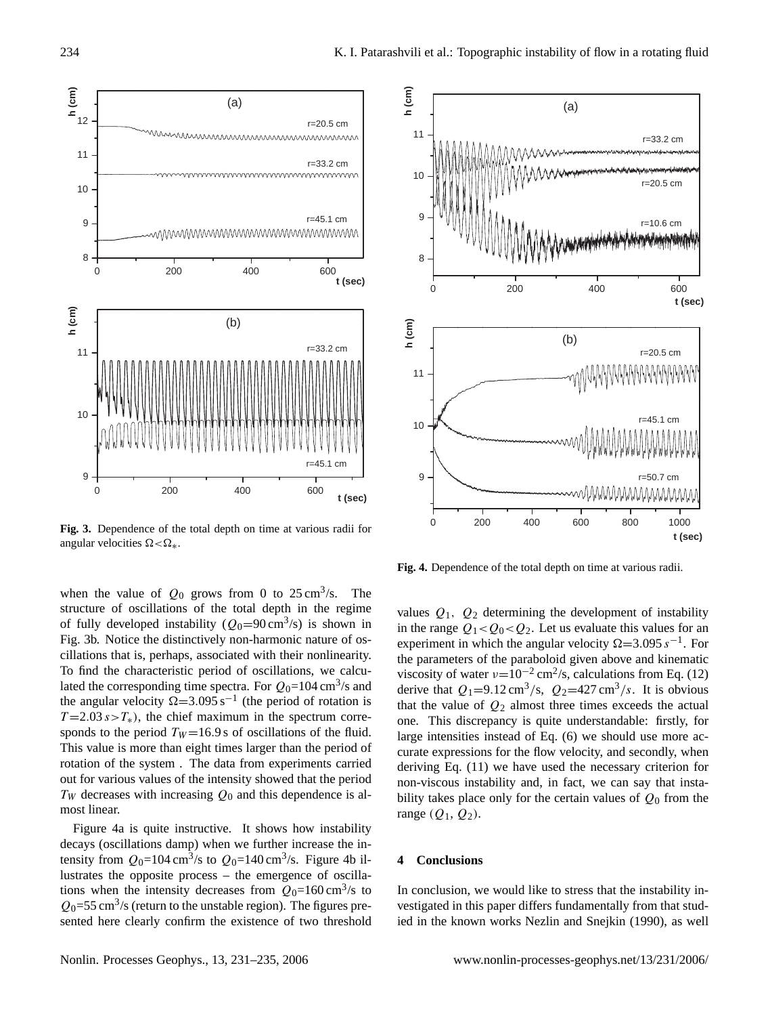

**Fig. 3.** Dependence of the total depth on time at various radii for angular velocities  $\Omega < \Omega$ .

when the value of  $Q_0$  grows from 0 to  $25 \text{ cm}^3/\text{s}$ . The structure of oscillations of the total depth in the regime of fully developed instability  $(Q_0=90 \text{ cm}^3/\text{s})$  is shown in Fig. 3b. Notice the distinctively non-harmonic nature of oscillations that is, perhaps, associated with their nonlinearity. To find the characteristic period of oscillations, we calculated the corresponding time spectra. For  $Q_0$ =104 cm<sup>3</sup>/s and the angular velocity  $\Omega$ =3.095 s<sup>-1</sup> (the period of rotation is  $T = 2.03 s > T<sub>*</sub>$ , the chief maximum in the spectrum corresponds to the period  $T_W = 16.9$  s of oscillations of the fluid. This value is more than eight times larger than the period of rotation of the system . The data from experiments carried out for various values of the intensity showed that the period  $T_W$  decreases with increasing  $Q_0$  and this dependence is almost linear.

Figure 4a is quite instructive. It shows how instability decays (oscillations damp) when we further increase the intensity from  $Q_0$ =104 cm<sup>3</sup>/s to  $Q_0$ =140 cm<sup>3</sup>/s. Figure 4b illustrates the opposite process – the emergence of oscillations when the intensity decreases from  $Q_0$ =160 cm<sup>3</sup>/s to  $Q_0$ =55 cm<sup>3</sup>/s (return to the unstable region). The figures presented here clearly confirm the existence of two threshold



**Fig. 4.** Dependence of the total depth on time at various radii.

values  $Q_1$ ,  $Q_2$  determining the development of instability in the range  $Q_1 < Q_0 < Q_2$ . Let us evaluate this values for an experiment in which the angular velocity  $\Omega = 3.095 s^{-1}$ . For the parameters of the paraboloid given above and kinematic viscosity of water  $\nu=10^{-2}$  cm<sup>2</sup>/s, calculations from Eq. (12) derive that  $Q_1=9.12 \text{ cm}^3/\text{s}$ ,  $Q_2=427 \text{ cm}^3/\text{s}$ . It is obvious that the value of  $Q_2$  almost three times exceeds the actual one. This discrepancy is quite understandable: firstly, for large intensities instead of Eq. (6) we should use more accurate expressions for the flow velocity, and secondly, when deriving Eq. (11) we have used the necessary criterion for non-viscous instability and, in fact, we can say that instability takes place only for the certain values of  $Q_0$  from the range  $(Q_1, Q_2)$ .

## **4 Conclusions**

In conclusion, we would like to stress that the instability investigated in this paper differs fundamentally from that studied in the known works Nezlin and Snejkin (1990), as well